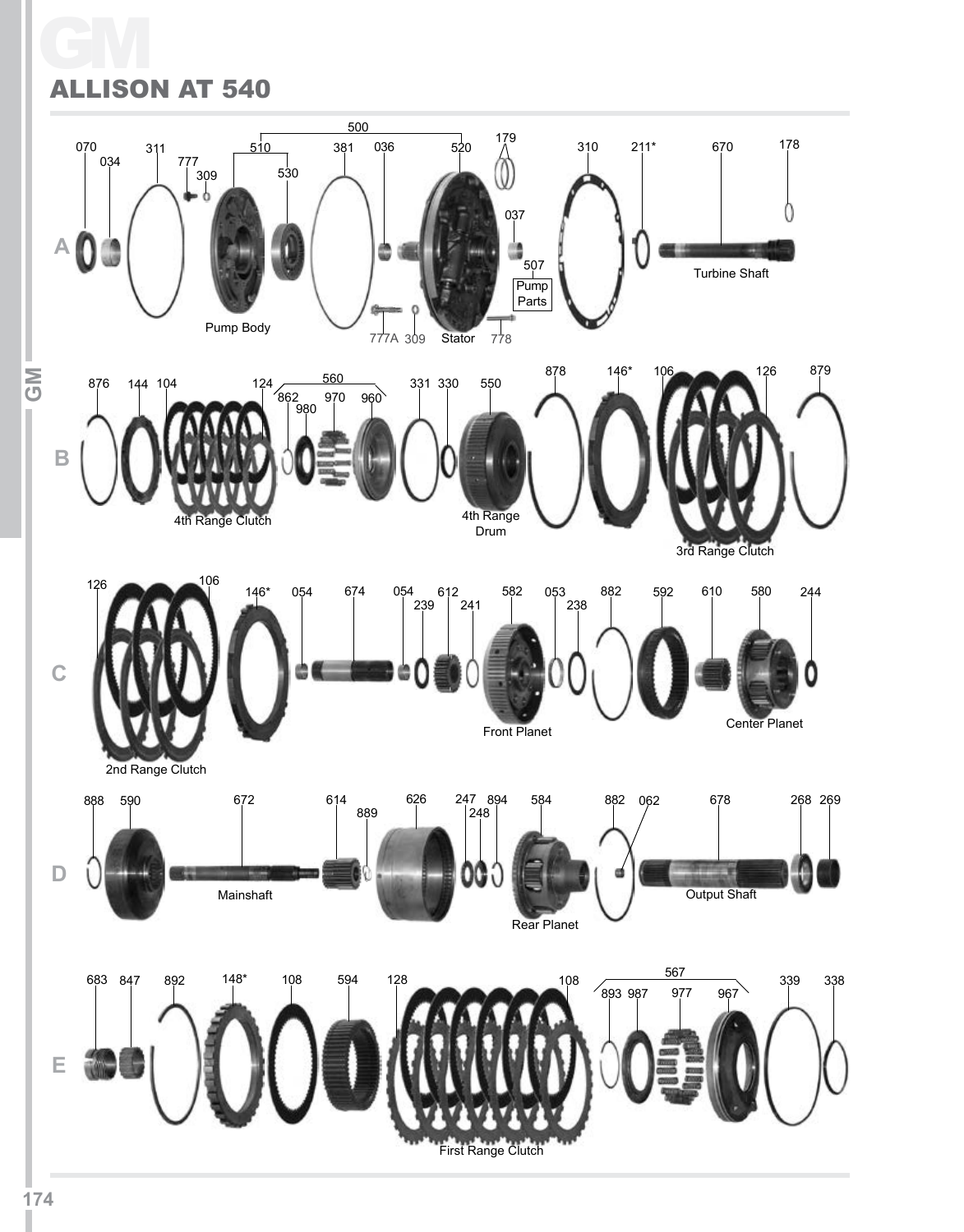# GM ALLISON AT 540

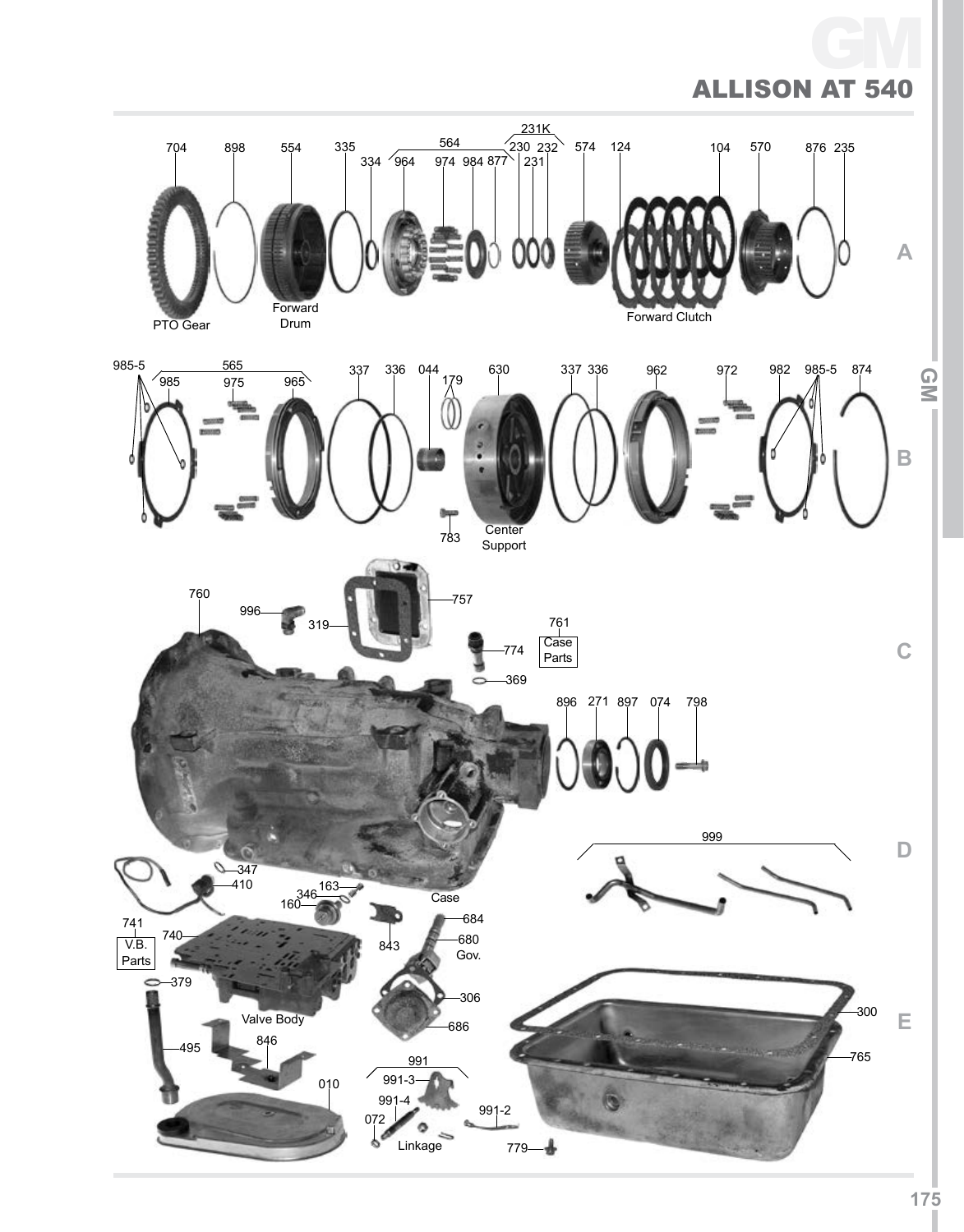#### Allison GM AT 540

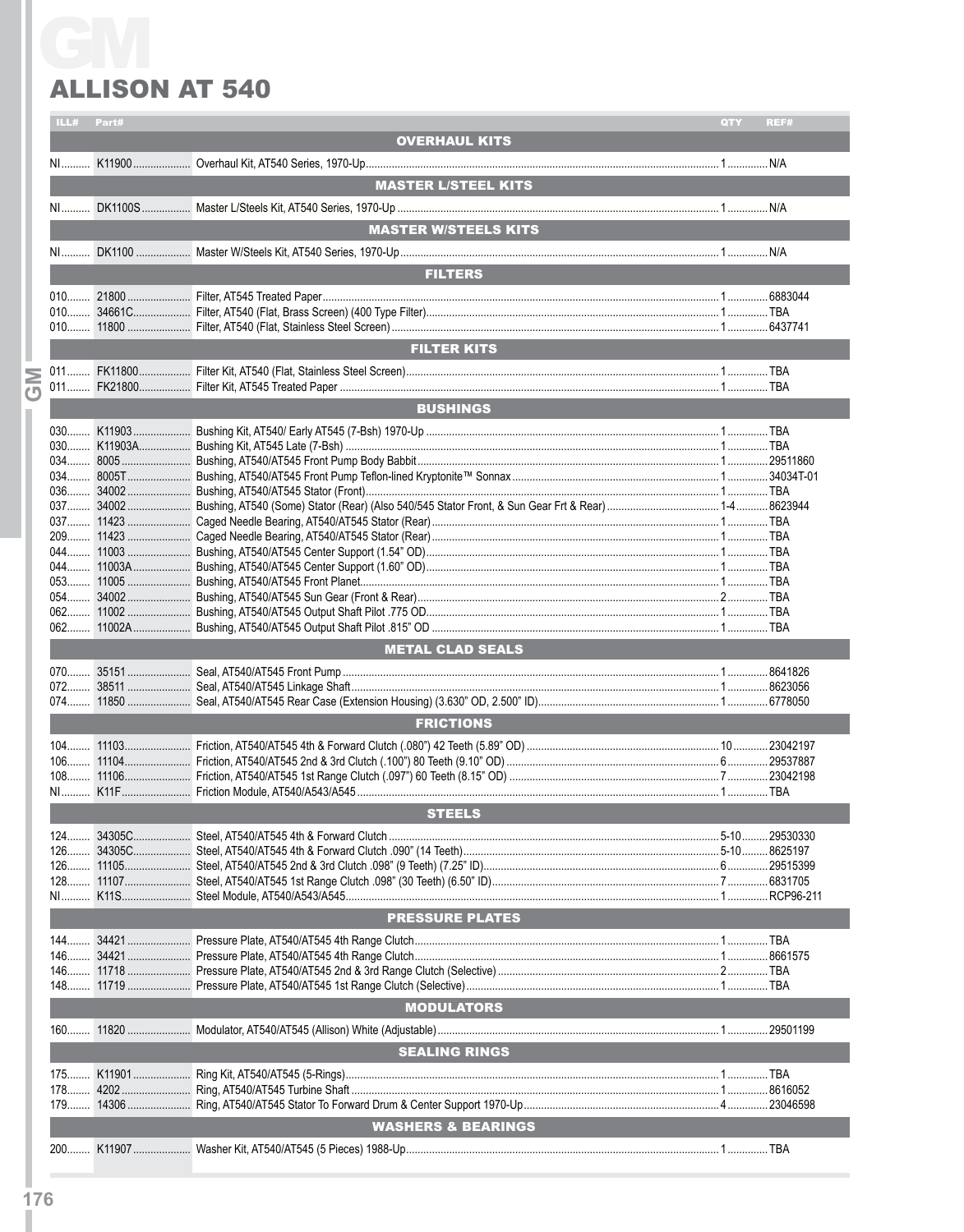## **ALLISON AT 540**

|                | ILL# | Part# |                                                                                                                                               | <b>QTY</b> | REF# |
|----------------|------|-------|-----------------------------------------------------------------------------------------------------------------------------------------------|------------|------|
|                |      |       | <b>OVERHAUL KITS</b>                                                                                                                          |            |      |
|                |      |       |                                                                                                                                               |            |      |
|                |      |       |                                                                                                                                               |            |      |
|                |      |       | <b>MASTER L/STEEL KITS</b><br><b>STATE OF STATE OF STATE OF STATE OF STATE OF STATE OF STATE OF STATE OF STATE OF STATE OF STATE OF STATE</b> |            |      |
|                |      |       |                                                                                                                                               |            |      |
|                |      |       |                                                                                                                                               |            |      |
|                |      |       | <b>MASTER W/STEELS KITS</b>                                                                                                                   |            |      |
|                |      |       |                                                                                                                                               |            |      |
|                |      |       |                                                                                                                                               |            |      |
|                |      |       | <b>FILTERS</b>                                                                                                                                |            |      |
|                |      |       |                                                                                                                                               |            |      |
|                |      |       |                                                                                                                                               |            |      |
|                |      |       |                                                                                                                                               |            |      |
|                |      |       |                                                                                                                                               |            |      |
|                |      |       | <b>FILTER KITS</b>                                                                                                                            |            |      |
|                |      |       |                                                                                                                                               |            |      |
|                |      |       |                                                                                                                                               |            |      |
| $\overline{C}$ |      |       |                                                                                                                                               |            |      |
|                |      |       | <b>BUSHINGS</b>                                                                                                                               |            |      |
|                |      |       |                                                                                                                                               |            |      |
|                |      |       |                                                                                                                                               |            |      |
|                |      |       |                                                                                                                                               |            |      |
|                |      |       |                                                                                                                                               |            |      |
|                |      |       |                                                                                                                                               |            |      |
|                |      |       |                                                                                                                                               |            |      |
|                |      |       |                                                                                                                                               |            |      |
|                |      |       |                                                                                                                                               |            |      |
|                |      |       |                                                                                                                                               |            |      |
|                |      |       |                                                                                                                                               |            |      |
|                |      |       |                                                                                                                                               |            |      |
|                |      |       |                                                                                                                                               |            |      |
|                |      |       |                                                                                                                                               |            |      |
|                |      |       |                                                                                                                                               |            |      |
|                |      |       |                                                                                                                                               |            |      |
|                |      |       |                                                                                                                                               |            |      |
|                |      |       |                                                                                                                                               |            |      |
|                |      |       | <b>METAL CLAD SEALS</b>                                                                                                                       |            |      |
|                |      |       |                                                                                                                                               |            |      |
|                |      |       |                                                                                                                                               |            |      |
|                |      |       |                                                                                                                                               |            |      |
|                |      |       |                                                                                                                                               |            |      |
|                |      |       | <b>FRICTIONS</b>                                                                                                                              |            |      |
|                |      |       |                                                                                                                                               |            |      |
|                |      |       |                                                                                                                                               |            |      |
|                |      |       |                                                                                                                                               |            |      |
|                |      |       |                                                                                                                                               |            |      |
|                |      |       |                                                                                                                                               |            |      |
|                |      |       | <b>STEELS</b>                                                                                                                                 |            |      |
|                |      |       |                                                                                                                                               |            |      |
|                |      |       |                                                                                                                                               |            |      |
|                |      |       |                                                                                                                                               |            |      |
|                |      |       |                                                                                                                                               |            |      |
|                |      |       |                                                                                                                                               |            |      |
|                |      |       |                                                                                                                                               |            |      |
|                |      |       | <b>PRESSURE PLATES</b>                                                                                                                        |            |      |
|                |      |       |                                                                                                                                               |            |      |
|                |      |       |                                                                                                                                               |            |      |
|                |      |       |                                                                                                                                               |            |      |
|                |      |       |                                                                                                                                               |            |      |
|                |      |       |                                                                                                                                               |            |      |
|                |      |       | <b>MODULATORS</b>                                                                                                                             |            |      |
|                |      |       |                                                                                                                                               |            |      |
|                |      |       |                                                                                                                                               |            |      |
|                |      |       | <b>SEALING RINGS</b>                                                                                                                          |            |      |
|                |      |       |                                                                                                                                               |            |      |
|                |      |       |                                                                                                                                               |            |      |
|                |      |       |                                                                                                                                               |            |      |
|                |      |       |                                                                                                                                               |            |      |
|                |      |       | <b>WASHERS &amp; BEARINGS</b>                                                                                                                 |            |      |
|                |      |       |                                                                                                                                               |            |      |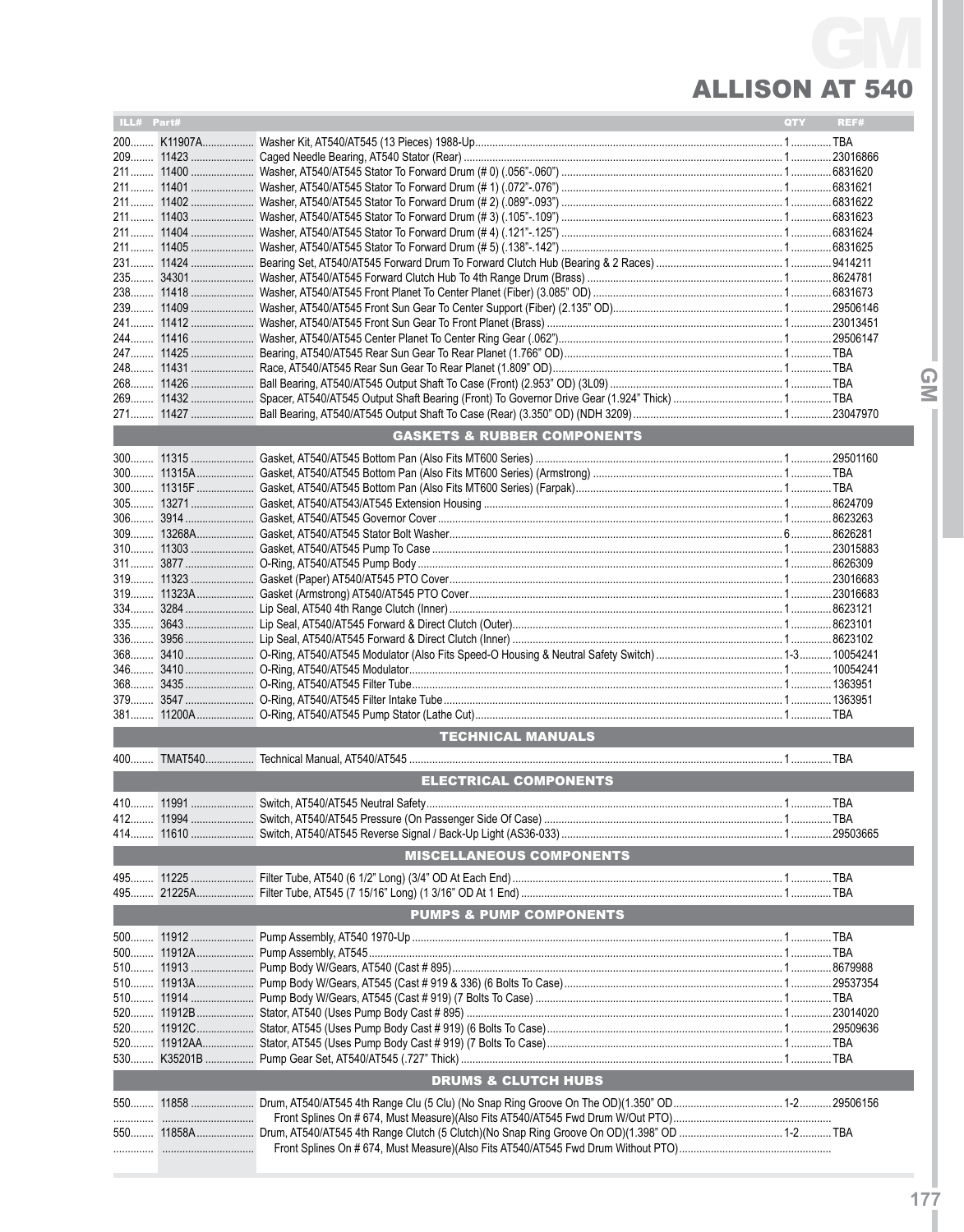## **ALLISON AT 540**

| ILL# Part# |             |                                        | QTY | REF# |
|------------|-------------|----------------------------------------|-----|------|
|            |             |                                        |     |      |
|            |             |                                        |     |      |
|            |             |                                        |     |      |
|            |             |                                        |     |      |
|            |             |                                        |     |      |
|            |             |                                        |     |      |
|            |             |                                        |     |      |
|            |             |                                        |     |      |
|            |             |                                        |     |      |
|            |             |                                        |     |      |
|            |             |                                        |     |      |
|            |             |                                        |     |      |
|            |             |                                        |     |      |
|            |             |                                        |     |      |
|            |             |                                        |     |      |
|            |             |                                        |     |      |
|            |             |                                        |     |      |
|            |             |                                        |     |      |
|            |             | <b>GASKETS &amp; RUBBER COMPONENTS</b> |     |      |
|            |             |                                        |     |      |
|            |             |                                        |     |      |
|            |             |                                        |     |      |
|            |             |                                        |     |      |
|            |             |                                        |     |      |
|            |             |                                        |     |      |
|            |             |                                        |     |      |
|            |             |                                        |     |      |
|            |             |                                        |     |      |
|            |             |                                        |     |      |
|            |             |                                        |     |      |
| 335        |             |                                        |     |      |
|            |             |                                        |     |      |
|            |             |                                        |     |      |
|            |             |                                        |     |      |
| $379$      |             |                                        |     |      |
|            |             |                                        |     |      |
|            |             | <b>TECHNICAL MANUALS</b>               |     |      |
|            |             |                                        |     |      |
|            |             | <b>ELECTRICAL COMPONENTS</b>           |     |      |
|            |             |                                        |     |      |
|            |             |                                        |     |      |
|            |             |                                        |     |      |
|            |             |                                        |     |      |
|            |             | <b>MISCELLANEOUS COMPONENTS</b>        |     |      |
|            |             |                                        |     |      |
|            |             |                                        |     |      |
|            |             | <b>PUMPS &amp; PUMP COMPONENTS</b>     |     |      |
|            |             |                                        |     |      |
|            |             |                                        |     |      |
|            |             |                                        |     |      |
| 510        |             |                                        |     |      |
|            |             |                                        |     |      |
|            |             |                                        |     |      |
|            |             |                                        |     |      |
|            | 520 11912AA |                                        |     |      |
|            |             |                                        |     |      |
|            |             | <b>DRUMS &amp; CLUTCH HUBS</b>         |     |      |
|            |             |                                        |     |      |
|            |             |                                        |     |      |
|            |             |                                        |     |      |
|            |             |                                        |     |      |

QM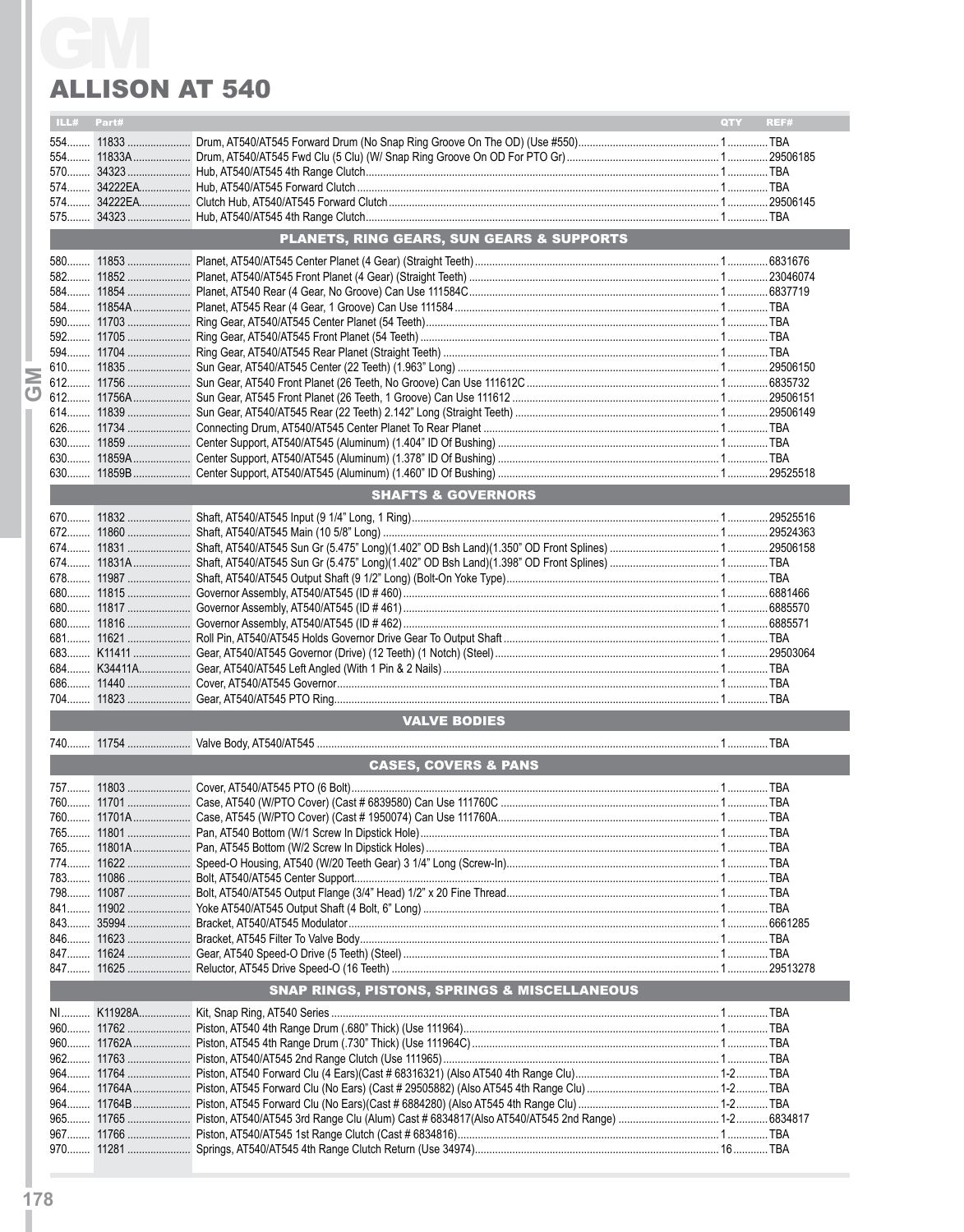# **ALLISON AT 540**

|   | ILL# Part#                      |  |                                                         | QTY REF# |  |  |  |
|---|---------------------------------|--|---------------------------------------------------------|----------|--|--|--|
|   |                                 |  |                                                         |          |  |  |  |
|   |                                 |  |                                                         |          |  |  |  |
|   |                                 |  |                                                         |          |  |  |  |
|   |                                 |  |                                                         |          |  |  |  |
|   |                                 |  |                                                         |          |  |  |  |
|   |                                 |  |                                                         |          |  |  |  |
|   |                                 |  | <b>PLANETS, RING GEARS, SUN GEARS &amp; SUPPORTS</b>    |          |  |  |  |
|   |                                 |  |                                                         |          |  |  |  |
|   |                                 |  |                                                         |          |  |  |  |
|   |                                 |  |                                                         |          |  |  |  |
|   |                                 |  |                                                         |          |  |  |  |
|   |                                 |  |                                                         |          |  |  |  |
|   |                                 |  |                                                         |          |  |  |  |
|   |                                 |  |                                                         |          |  |  |  |
| Σ |                                 |  |                                                         |          |  |  |  |
|   |                                 |  |                                                         |          |  |  |  |
|   |                                 |  |                                                         |          |  |  |  |
|   |                                 |  |                                                         |          |  |  |  |
|   |                                 |  |                                                         |          |  |  |  |
|   |                                 |  |                                                         |          |  |  |  |
|   |                                 |  |                                                         |          |  |  |  |
|   |                                 |  | <b>SHAFTS &amp; GOVERNORS</b>                           |          |  |  |  |
|   |                                 |  |                                                         |          |  |  |  |
|   |                                 |  |                                                         |          |  |  |  |
|   |                                 |  |                                                         |          |  |  |  |
|   |                                 |  |                                                         |          |  |  |  |
|   |                                 |  |                                                         |          |  |  |  |
|   |                                 |  |                                                         |          |  |  |  |
|   |                                 |  |                                                         |          |  |  |  |
|   |                                 |  |                                                         |          |  |  |  |
|   |                                 |  |                                                         |          |  |  |  |
|   |                                 |  |                                                         |          |  |  |  |
|   |                                 |  |                                                         |          |  |  |  |
|   |                                 |  |                                                         |          |  |  |  |
|   |                                 |  |                                                         |          |  |  |  |
|   |                                 |  | <b>VALVE BODIES</b>                                     |          |  |  |  |
|   |                                 |  |                                                         |          |  |  |  |
|   |                                 |  |                                                         |          |  |  |  |
|   | <b>CASES, COVERS &amp; PANS</b> |  |                                                         |          |  |  |  |
|   |                                 |  |                                                         |          |  |  |  |
|   |                                 |  |                                                         |          |  |  |  |
|   |                                 |  |                                                         |          |  |  |  |
|   |                                 |  |                                                         |          |  |  |  |
|   |                                 |  |                                                         |          |  |  |  |
|   |                                 |  |                                                         |          |  |  |  |
|   |                                 |  |                                                         |          |  |  |  |
|   |                                 |  |                                                         |          |  |  |  |
|   |                                 |  |                                                         |          |  |  |  |
|   |                                 |  |                                                         |          |  |  |  |
|   |                                 |  |                                                         |          |  |  |  |
|   |                                 |  |                                                         |          |  |  |  |
|   |                                 |  | <b>SNAP RINGS, PISTONS, SPRINGS &amp; MISCELLANEOUS</b> |          |  |  |  |
|   |                                 |  |                                                         |          |  |  |  |
|   |                                 |  |                                                         |          |  |  |  |
|   |                                 |  |                                                         |          |  |  |  |
|   |                                 |  |                                                         |          |  |  |  |
|   |                                 |  |                                                         |          |  |  |  |
|   |                                 |  |                                                         |          |  |  |  |
|   |                                 |  |                                                         |          |  |  |  |
|   |                                 |  |                                                         |          |  |  |  |
|   |                                 |  |                                                         |          |  |  |  |
|   |                                 |  |                                                         |          |  |  |  |
|   |                                 |  |                                                         |          |  |  |  |